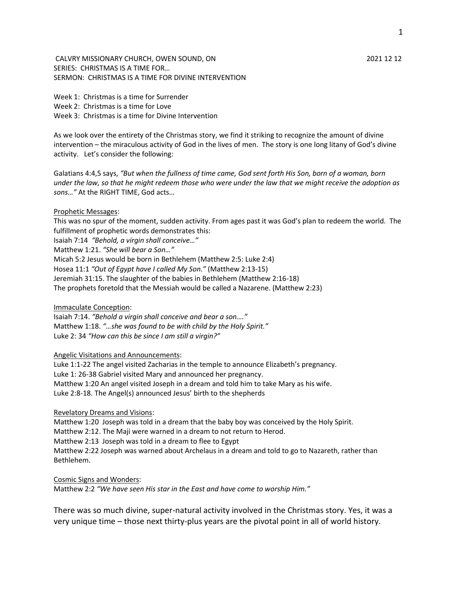CALVRY MISSIONARY CHURCH, OWEN SOUND, ON 2021 12 12 SERIES: CHRISTMAS IS A TIME FOR… SERMON: CHRISTMAS IS A TIME FOR DIVINE INTERVENTION

Week 1: Christmas is a time for Surrender Week 2: Christmas is a time for Love Week 3: Christmas is a time for Divine Intervention

As we look over the entirety of the Christmas story, we find it striking to recognize the amount of divine intervention – the miraculous activity of God in the lives of men. The story is one long litany of God's divine activity. Let's consider the following:

Galatians 4:4,5 says, *"But when the fullness of time came, God sent forth His Son, born of a woman, born under the law, so that he might redeem those who were under the law that we might receive the adoption as sons…"* At the RIGHT TIME, God acts…

## Prophetic Messages:

This was no spur of the moment, sudden activity. From ages past it was God's plan to redeem the world. The fulfillment of prophetic words demonstrates this:

Isaiah 7:14 *"Behold, a virgin shall conceive…"*

Matthew 1:21. *"She will bear a Son…"* 

Micah 5:2 Jesus would be born in Bethlehem (Matthew 2:5: Luke 2:4)

Hosea 11:1 *"Out of Egypt have I called My Son."* (Matthew 2:13-15)

Jeremiah 31:15. The slaughter of the babies in Bethlehem (Matthew 2:16-18)

The prophets foretold that the Messiah would be called a Nazarene. (Matthew 2:23)

Immaculate Conception:

Isaiah 7:14. *"Behold a virgin shall conceive and bear a son…."* Matthew 1:18. *"…she was found to be with child by the Holy Spirit."* Luke 2: 34 *"How can this be since I am still a virgin?"*

## Angelic Visitations and Announcements:

Luke 1:1-22 The angel visited Zacharias in the temple to announce Elizabeth's pregnancy. Luke 1: 26-38 Gabriel visited Mary and announced her pregnancy. Matthew 1:20 An angel visited Joseph in a dream and told him to take Mary as his wife. Luke 2:8-18. The Angel(s) announced Jesus' birth to the shepherds

## Revelatory Dreams and Visions:

Matthew 1:20 Joseph was told in a dream that the baby boy was conceived by the Holy Spirit.

Matthew 2:12. The Maji were warned in a dream to not return to Herod.

Matthew 2:13 Joseph was told in a dream to flee to Egypt

Matthew 2:22 Joseph was warned about Archelaus in a dream and told to go to Nazareth, rather than Bethlehem.

Cosmic Signs and Wonders:

Matthew 2:2 *"We have seen His star in the East and have come to worship Him."*

There was so much divine, super-natural activity involved in the Christmas story. Yes, it was a very unique time – those next thirty-plus years are the pivotal point in all of world history.